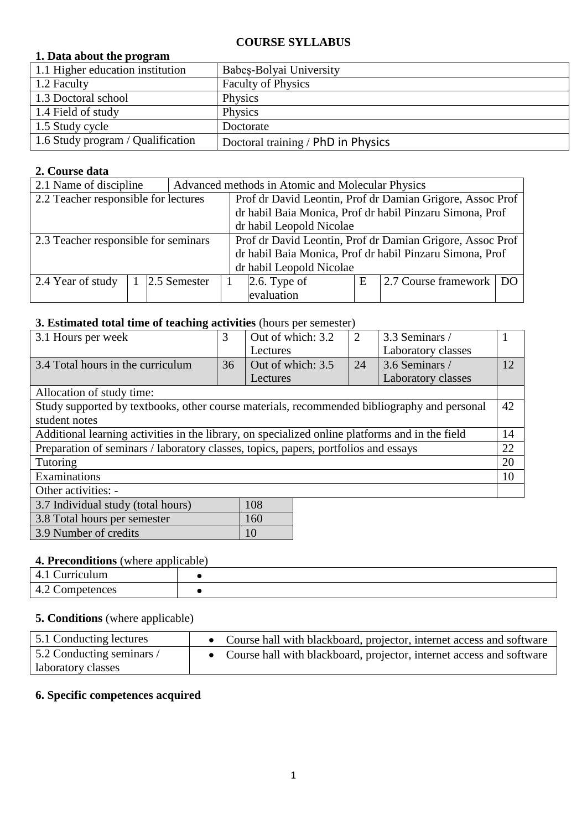#### **COURSE SYLLABUS**

### **1. Data about the program**

| 1.1 Higher education institution  | Babes-Bolyai University            |
|-----------------------------------|------------------------------------|
| 1.2 Faculty                       | <b>Faculty of Physics</b>          |
| 1.3 Doctoral school               | Physics                            |
| 1.4 Field of study                | Physics                            |
| 1.5 Study cycle                   | Doctorate                          |
| 1.6 Study program / Qualification | Doctoral training / PhD in Physics |

### **2. Course data**

| 2.1 Name of discipline               | Advanced methods in Atomic and Molecular Physics |  |                                                           |                                                          |                                                          |  |
|--------------------------------------|--------------------------------------------------|--|-----------------------------------------------------------|----------------------------------------------------------|----------------------------------------------------------|--|
| 2.2 Teacher responsible for lectures |                                                  |  | Prof dr David Leontin, Prof dr Damian Grigore, Assoc Prof |                                                          |                                                          |  |
|                                      |                                                  |  |                                                           | dr habil Baia Monica, Prof dr habil Pinzaru Simona, Prof |                                                          |  |
|                                      | dr habil Leopold Nicolae                         |  |                                                           |                                                          |                                                          |  |
| 2.3 Teacher responsible for seminars |                                                  |  | Prof dr David Leontin, Prof dr Damian Grigore, Assoc Prof |                                                          |                                                          |  |
|                                      |                                                  |  |                                                           |                                                          | dr habil Baia Monica, Prof dr habil Pinzaru Simona, Prof |  |
| dr habil Leopold Nicolae             |                                                  |  |                                                           |                                                          |                                                          |  |
| 2.4 Year of study                    | 2.5 Semester                                     |  | $2.6$ . Type of                                           | Ε                                                        | 2.7 Course framework   DO                                |  |
|                                      |                                                  |  | evaluation                                                |                                                          |                                                          |  |

## **3. Estimated total time of teaching activities** (hours per semester)

| 3.1 Hours per week                                                                              | 3  | Out of which: 3.2 | 2  | 3.3 Seminars /     |    |
|-------------------------------------------------------------------------------------------------|----|-------------------|----|--------------------|----|
|                                                                                                 |    | Lectures          |    | Laboratory classes |    |
| 3.4 Total hours in the curriculum                                                               | 36 | Out of which: 3.5 | 24 | 3.6 Seminars /     | 12 |
|                                                                                                 |    | Lectures          |    | Laboratory classes |    |
| Allocation of study time:                                                                       |    |                   |    |                    |    |
| Study supported by textbooks, other course materials, recommended bibliography and personal     |    |                   |    |                    | 42 |
| student notes                                                                                   |    |                   |    |                    |    |
| Additional learning activities in the library, on specialized online platforms and in the field |    |                   |    |                    | 14 |
| Preparation of seminars / laboratory classes, topics, papers, portfolios and essays             |    |                   |    |                    | 22 |
| Tutoring                                                                                        |    |                   |    |                    | 20 |
| Examinations                                                                                    |    |                   |    |                    | 10 |
| Other activities: -                                                                             |    |                   |    |                    |    |
| 3.7 Individual study (total hours)                                                              |    | 108               |    |                    |    |
| $2.0$ Tatal leaves non-agreement                                                                |    | $1 \in \Omega$    |    |                    |    |

| 3.8 Total hours per semester | 160 |
|------------------------------|-----|
| 3.9 Number of credits        |     |
|                              |     |

#### **4. Preconditions** (where applicable)

| ulum<br>$\sim$ . The pressure $\sim$ The set of $\sim$ Theorem<br>$\prime$<br><b>LL</b> |  |
|-----------------------------------------------------------------------------------------|--|
| $\sqrt{2}$<br>$\sqrt{ }$<br>ences<br>om<br>⋯<br>$\sim$<br>.                             |  |

## **5. Conditions** (where applicable)

| 5.1 Conducting lectures   | • Course hall with blackboard, projector, internet access and software |
|---------------------------|------------------------------------------------------------------------|
| 5.2 Conducting seminars / | • Course hall with blackboard, projector, internet access and software |
| aboratory classes         |                                                                        |

#### **6. Specific competences acquired**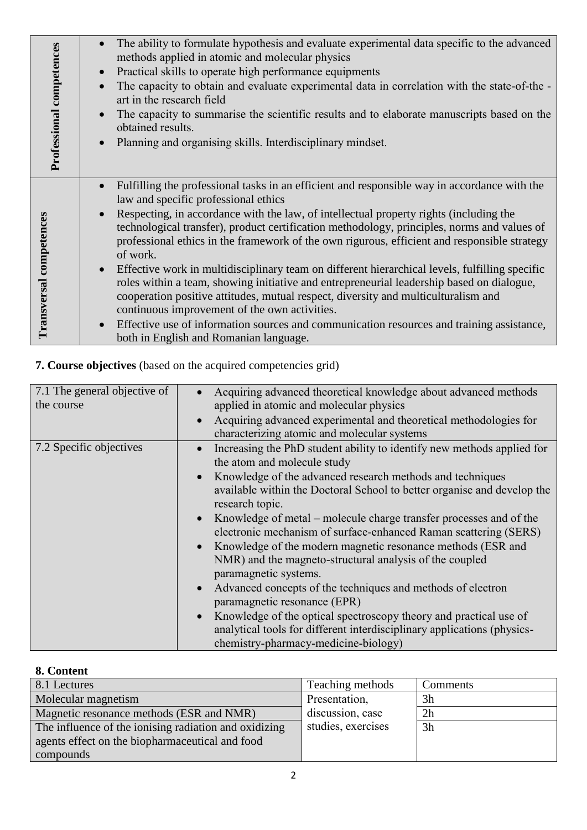| Professional competences | The ability to formulate hypothesis and evaluate experimental data specific to the advanced<br>methods applied in atomic and molecular physics<br>Practical skills to operate high performance equipments<br>The capacity to obtain and evaluate experimental data in correlation with the state-of-the -<br>art in the research field<br>The capacity to summarise the scientific results and to elaborate manuscripts based on the<br>obtained results.<br>Planning and organising skills. Interdisciplinary mindset. |
|--------------------------|-------------------------------------------------------------------------------------------------------------------------------------------------------------------------------------------------------------------------------------------------------------------------------------------------------------------------------------------------------------------------------------------------------------------------------------------------------------------------------------------------------------------------|
|                          |                                                                                                                                                                                                                                                                                                                                                                                                                                                                                                                         |
|                          | Fulfilling the professional tasks in an efficient and responsible way in accordance with the<br>law and specific professional ethics                                                                                                                                                                                                                                                                                                                                                                                    |
| competences              | Respecting, in accordance with the law, of intellectual property rights (including the<br>technological transfer), product certification methodology, principles, norms and values of<br>professional ethics in the framework of the own rigurous, efficient and responsible strategy<br>of work.                                                                                                                                                                                                                       |
| ransversal               | Effective work in multidisciplinary team on different hierarchical levels, fulfilling specific<br>roles within a team, showing initiative and entrepreneurial leadership based on dialogue,<br>cooperation positive attitudes, mutual respect, diversity and multiculturalism and<br>continuous improvement of the own activities.                                                                                                                                                                                      |
|                          | Effective use of information sources and communication resources and training assistance,<br>both in English and Romanian language.                                                                                                                                                                                                                                                                                                                                                                                     |

**7. Course objectives** (based on the acquired competencies grid)

| 7.1 The general objective of<br>the course | Acquiring advanced theoretical knowledge about advanced methods<br>applied in atomic and molecular physics<br>Acquiring advanced experimental and theoretical methodologies for<br>characterizing atomic and molecular systems                                                                                                                                                                                                                                                                                                                                                                                                                                                                                                                                                                                                                       |
|--------------------------------------------|------------------------------------------------------------------------------------------------------------------------------------------------------------------------------------------------------------------------------------------------------------------------------------------------------------------------------------------------------------------------------------------------------------------------------------------------------------------------------------------------------------------------------------------------------------------------------------------------------------------------------------------------------------------------------------------------------------------------------------------------------------------------------------------------------------------------------------------------------|
| 7.2 Specific objectives                    | Increasing the PhD student ability to identify new methods applied for<br>the atom and molecule study<br>Knowledge of the advanced research methods and techniques<br>available within the Doctoral School to better organise and develop the<br>research topic.<br>Knowledge of metal – molecule charge transfer processes and of the<br>electronic mechanism of surface-enhanced Raman scattering (SERS)<br>Knowledge of the modern magnetic resonance methods (ESR and<br>NMR) and the magneto-structural analysis of the coupled<br>paramagnetic systems.<br>Advanced concepts of the techniques and methods of electron<br>paramagnetic resonance (EPR)<br>Knowledge of the optical spectroscopy theory and practical use of<br>analytical tools for different interdisciplinary applications (physics-<br>chemistry-pharmacy-medicine-biology) |

# **8. Content**

| 8.1 Lectures                                          | Teaching methods   | Comments       |
|-------------------------------------------------------|--------------------|----------------|
| Molecular magnetism                                   | Presentation,      | 3 <sub>h</sub> |
| Magnetic resonance methods (ESR and NMR)              | discussion, case   | 2h             |
| The influence of the ionising radiation and oxidizing | studies, exercises | 3h             |
| agents effect on the biopharmaceutical and food       |                    |                |
| compounds                                             |                    |                |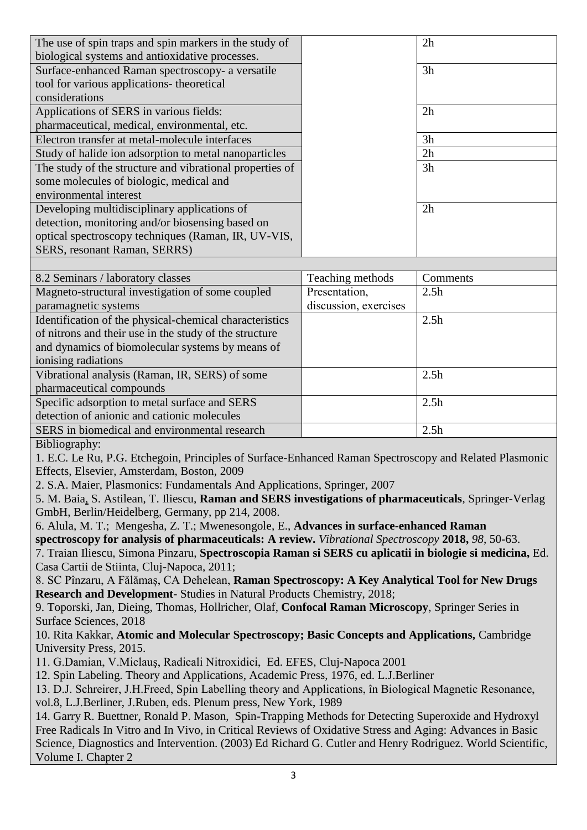| The use of spin traps and spin markers in the study of                                                    |                       | 2h               |
|-----------------------------------------------------------------------------------------------------------|-----------------------|------------------|
| biological systems and antioxidative processes.                                                           |                       |                  |
| Surface-enhanced Raman spectroscopy- a versatile                                                          |                       | 3h               |
| tool for various applications- theoretical                                                                |                       |                  |
| considerations                                                                                            |                       |                  |
| Applications of SERS in various fields:                                                                   |                       | 2h               |
| pharmaceutical, medical, environmental, etc.                                                              |                       |                  |
| Electron transfer at metal-molecule interfaces                                                            |                       | 3h               |
| Study of halide ion adsorption to metal nanoparticles                                                     |                       | 2h               |
| The study of the structure and vibrational properties of                                                  |                       | 3h               |
| some molecules of biologic, medical and                                                                   |                       |                  |
| environmental interest                                                                                    |                       |                  |
| Developing multidisciplinary applications of                                                              |                       | 2h               |
| detection, monitoring and/or biosensing based on                                                          |                       |                  |
| optical spectroscopy techniques (Raman, IR, UV-VIS,                                                       |                       |                  |
| SERS, resonant Raman, SERRS)                                                                              |                       |                  |
|                                                                                                           |                       |                  |
| 8.2 Seminars / laboratory classes                                                                         | Teaching methods      | Comments         |
| Magneto-structural investigation of some coupled                                                          | Presentation,         | 2.5h             |
| paramagnetic systems                                                                                      | discussion, exercises |                  |
| Identification of the physical-chemical characteristics                                                   |                       | 2.5 <sub>h</sub> |
| of nitrons and their use in the study of the structure                                                    |                       |                  |
| and dynamics of biomolecular systems by means of                                                          |                       |                  |
| ionising radiations                                                                                       |                       |                  |
| Vibrational analysis (Raman, IR, SERS) of some                                                            |                       | 2.5h             |
| pharmaceutical compounds                                                                                  |                       |                  |
| Specific adsorption to metal surface and SERS                                                             |                       | 2.5 <sub>h</sub> |
|                                                                                                           |                       |                  |
| detection of anionic and cationic molecules                                                               |                       |                  |
| SERS in biomedical and environmental research                                                             |                       | 2.5 <sub>h</sub> |
| Bibliography:                                                                                             |                       |                  |
| 1. E.C. Le Ru, P.G. Etchegoin, Principles of Surface-Enhanced Raman Spectroscopy and Related Plasmonic    |                       |                  |
| Effects, Elsevier, Amsterdam, Boston, 2009                                                                |                       |                  |
| 2. S.A. Maier, Plasmonics: Fundamentals And Applications, Springer, 2007                                  |                       |                  |
| 5. M. Baia, S. Astilean, T. Iliescu, Raman and SERS investigations of pharmaceuticals, Springer-Verlag    |                       |                  |
| GmbH, Berlin/Heidelberg, Germany, pp 214, 2008.                                                           |                       |                  |
| 6. Alula, M. T.; Mengesha, Z. T.; Mwenesongole, E., Advances in surface-enhanced Raman                    |                       |                  |
| spectroscopy for analysis of pharmaceuticals: A review. Vibrational Spectroscopy 2018, 98, 50-63.         |                       |                  |
| 7. Traian Iliescu, Simona Pinzaru, Spectroscopia Raman si SERS cu aplicatii in biologie si medicina, Ed.  |                       |                  |
| Casa Cartii de Stiinta, Cluj-Napoca, 2011;                                                                |                       |                  |
| 8. SC Pînzaru, A Fălămaș, CA Dehelean, Raman Spectroscopy: A Key Analytical Tool for New Drugs            |                       |                  |
| Research and Development- Studies in Natural Products Chemistry, 2018;                                    |                       |                  |
| 9. Toporski, Jan, Dieing, Thomas, Hollricher, Olaf, Confocal Raman Microscopy, Springer Series in         |                       |                  |
| Surface Sciences, 2018                                                                                    |                       |                  |
| 10. Rita Kakkar, Atomic and Molecular Spectroscopy; Basic Concepts and Applications, Cambridge            |                       |                  |
| University Press, 2015.                                                                                   |                       |                  |
| 11. G.Damian, V.Miclaus, Radicali Nitroxidici, Ed. EFES, Cluj-Napoca 2001                                 |                       |                  |
| 12. Spin Labeling. Theory and Applications, Academic Press, 1976, ed. L.J.Berliner                        |                       |                  |
| 13. D.J. Schreirer, J.H.Freed, Spin Labelling theory and Applications, în Biological Magnetic Resonance,  |                       |                  |
| vol.8, L.J.Berliner, J.Ruben, eds. Plenum press, New York, 1989                                           |                       |                  |
| 14. Garry R. Buettner, Ronald P. Mason, Spin-Trapping Methods for Detecting Superoxide and Hydroxyl       |                       |                  |
| Free Radicals In Vitro and In Vivo, in Critical Reviews of Oxidative Stress and Aging: Advances in Basic  |                       |                  |
| Science, Diagnostics and Intervention. (2003) Ed Richard G. Cutler and Henry Rodriguez. World Scientific, |                       |                  |
| Volume I. Chapter 2                                                                                       |                       |                  |